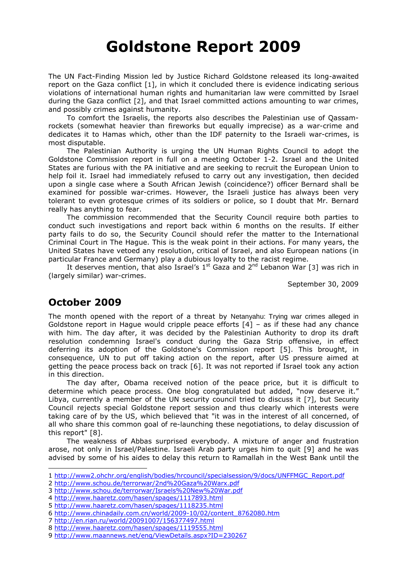## Goldstone Report 2009

The UN Fact-Finding Mission led by Justice Richard Goldstone released its long-awaited report on the Gaza conflict [1], in which it concluded there is evidence indicating serious violations of international human rights and humanitarian law were committed by Israel during the Gaza conflict [2], and that Israel committed actions amounting to war crimes, and possibly crimes against humanity.

 To comfort the Israelis, the reports also describes the Palestinian use of Qassamrockets (somewhat heavier than fireworks but equally imprecise) as a war-crime and dedicates it to Hamas which, other than the IDF paternity to the Israeli war-crimes, is most disputable.

 The Palestinian Authority is urging the UN Human Rights Council to adopt the Goldstone Commission report in full on a meeting October 1-2. Israel and the United States are furious with the PA initiative and are seeking to recruit the European Union to help foil it. Israel had immediately refused to carry out any investigation, then decided upon a single case where a South African Jewish (coincidence?) officer Bernard shall be examined for possible war-crimes. However, the Israeli justice has always been very tolerant to even grotesque crimes of its soldiers or police, so I doubt that Mr. Bernard really has anything to fear.

 The commission recommended that the Security Council require both parties to conduct such investigations and report back within 6 months on the results. If either party fails to do so, the Security Council should refer the matter to the International Criminal Court in The Hague. This is the weak point in their actions. For many years, the United States have vetoed any resolution, critical of Israel, and also European nations (in particular France and Germany) play a dubious loyalty to the racist regime.

It deserves mention, that also Israel's  $1<sup>st</sup>$  Gaza and  $2<sup>nd</sup>$  Lebanon War [3] was rich in (largely similar) war-crimes.

September 30, 2009

## October 2009

The month opened with the report of a threat by Netanyahu: Trying war crimes alleged in Goldstone report in Hague would cripple peace efforts  $[4]$  – as if these had any chance with him. The day after, it was decided by the Palestinian Authority to drop its draft resolution condemning Israel's conduct during the Gaza Strip offensive, in effect deferring its adoption of the Goldstone's Commission report [5]. This brought, in consequence, UN to put off taking action on the report, after US pressure aimed at getting the peace process back on track [6]. It was not reported if Israel took any action in this direction.

 The day after, Obama received notion of the peace price, but it is difficult to determine which peace process. One blog congratulated but added, "now deserve it." Libya, currently a member of the UN security council tried to discuss it [7], but Security Council rejects special Goldstone report session and thus clearly which interests were taking care of by the US, which believed that "it was in the interest of all concerned, of all who share this common goal of re-launching these negotiations, to delay discussion of this report" [8].

 The weakness of Abbas surprised everybody. A mixture of anger and frustration arose, not only in Israel/Palestine. Israeli Arab party urges him to quit [9] and he was advised by some of his aides to delay this return to Ramallah in the West Bank until the

j. 1 http://www2.ohchr.org/english/bodies/hrcouncil/specialsession/9/docs/UNFFMGC\_Report.pdf

<sup>2</sup> http://www.schou.de/terrorwar/2nd%20Gaza%20Warx.pdf

<sup>3</sup> http://www.schou.de/terrorwar/Israels%20New%20War.pdf

<sup>4</sup> http://www.haaretz.com/hasen/spages/1117893.html

<sup>5</sup> http://www.haaretz.com/hasen/spages/1118235.html

<sup>6</sup> http://www.chinadaily.com.cn/world/2009-10/02/content\_8762080.htm

<sup>7</sup> http://en.rian.ru/world/20091007/156377497.html

<sup>8</sup> http://www.haaretz.com/hasen/spages/1119555.html

<sup>9</sup> http://www.maannews.net/eng/ViewDetails.aspx?ID=230267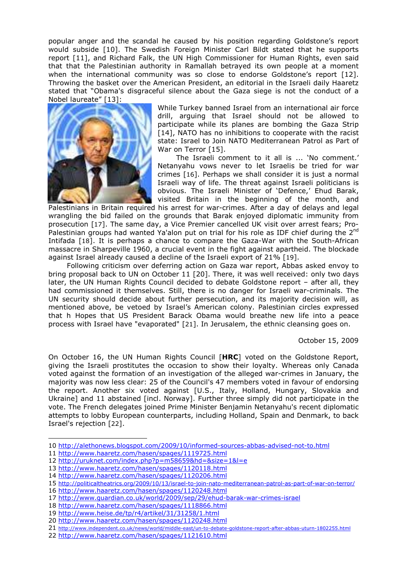popular anger and the scandal he caused by his position regarding Goldstone's report would subside [10]. The Swedish Foreign Minister Carl Bildt stated that he supports report [11], and Richard Falk, the UN High Commissioner for Human Rights, even said that that the Palestinian authority in Ramallah betrayed its own people at a moment when the international community was so close to endorse Goldstone's report [12]. Throwing the basket over the American President, an editorial in the Israeli daily Haaretz stated that "Obama's disgraceful silence about the Gaza siege is not the conduct of a Nobel laureate" [13]:



While Turkey banned Israel from an international air force drill, arguing that Israel should not be allowed to participate while its planes are bombing the Gaza Strip [14], NATO has no inhibitions to cooperate with the racist state: Israel to Join NATO Mediterranean Patrol as Part of War on Terror [15].

 The Israeli comment to it all is ... 'No comment.' Netanyahu vows never to let Israelis be tried for war crimes [16]. Perhaps we shall consider it is just a normal Israeli way of life. The threat against Israeli politicians is obvious. The Israeli Minister of 'Defence,' Ehud Barak, visited Britain in the beginning of the month, and

Palestinians in Britain required his arrest for war-crimes. After a day of delays and legal wrangling the bid failed on the grounds that Barak enjoyed diplomatic immunity from prosecution [17]. The same day, a Vice Premier cancelled UK visit over arrest fears; Pro-Palestinian groups had wanted Ya'alon put on trial for his role as IDF chief during the 2<sup>nd</sup> Intifada [18]. It is perhaps a chance to compare the Gaza-War with the South-African massacre in Sharpeville 1960, a crucial event in the fight against apartheid. The blockade against Israel already caused a decline of the Israeli export of 21% [19].

 Following criticism over deferring action on Gaza war report, Abbas asked envoy to bring proposal back to UN on October 11 [20]. There, it was well received: only two days later, the UN Human Rights Council decided to debate Goldstone report - after all, they had commissioned it themselves. Still, there is no danger for Israeli war-criminals. The UN security should decide about further persecution, and its majority decision will, as mentioned above, be vetoed by Israel's American colony. Palestinian circles expressed that h Hopes that US President Barack Obama would breathe new life into a peace process with Israel have "evaporated" [21]. In Jerusalem, the ethnic cleansing goes on.

October 15, 2009

On October 16, the UN Human Rights Council [HRC] voted on the Goldstone Report, giving the Israeli prostitutes the occasion to show their loyalty. Whereas only Canada voted against the formation of an investigation of the alleged war-crimes in January, the majority was now less clear: 25 of the Council's 47 members voted in favour of endorsing the report. Another six voted against [U.S., Italy, Holland, Hungary, Slovakia and Ukraine] and 11 abstained [incl. Norway]. Further three simply did not participate in the vote. The French delegates joined Prime Minister Benjamin Netanyahu's recent diplomatic attempts to lobby European counterparts, including Holland, Spain and Denmark, to back Israel's rejection [22].

<sup>10</sup> http://alethonews.blogspot.com/2009/10/informed-sources-abbas-advised-not-to.html

<sup>11</sup> http://www.haaretz.com/hasen/spages/1119725.html

<sup>12</sup> http://uruknet.com/index.php?p=m58659&hd=&size=1&l=e

<sup>13</sup> http://www.haaretz.com/hasen/spages/1120118.html

<sup>14</sup> http://www.haaretz.com/hasen/spages/1120206.html

<sup>15</sup> http://politicaltheatrics.org/2009/10/13/israel-to-join-nato-mediterranean-patrol-as-part-of-war-on-terror/

<sup>16</sup> http://www.haaretz.com/hasen/spages/1120248.html

<sup>17</sup> http://www.guardian.co.uk/world/2009/sep/29/ehud-barak-war-crimes-israel

<sup>18</sup> http://www.haaretz.com/hasen/spages/1118866.html

<sup>19</sup> http://www.heise.de/tp/r4/artikel/31/31258/1.html

<sup>20</sup> http://www.haaretz.com/hasen/spages/1120248.html

<sup>21</sup> http://www.independent.co.uk/news/world/middle-east/un-to-debate-goldstone-report-after-abbas-uturn-1802255.html

<sup>22</sup> http://www.haaretz.com/hasen/spages/1121610.html